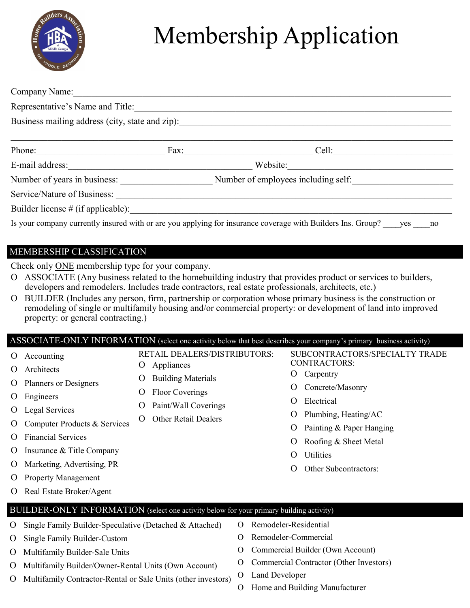

## Membership Application

| Company Name: Name:                             |                                                                     |                                                                                                                    |  |  |  |
|-------------------------------------------------|---------------------------------------------------------------------|--------------------------------------------------------------------------------------------------------------------|--|--|--|
| Representative's Name and Title:                |                                                                     |                                                                                                                    |  |  |  |
| Business mailing address (city, state and zip): |                                                                     |                                                                                                                    |  |  |  |
|                                                 |                                                                     |                                                                                                                    |  |  |  |
| Phone:                                          | Fax:                                                                | Cell:<br>the control of the control of the control of                                                              |  |  |  |
| E-mail address:                                 |                                                                     | Website:                                                                                                           |  |  |  |
|                                                 | Number of years in business:<br>Number of employees including self: |                                                                                                                    |  |  |  |
| Service/Nature of Business:                     |                                                                     |                                                                                                                    |  |  |  |
| Builder license # (if applicable):              |                                                                     |                                                                                                                    |  |  |  |
|                                                 |                                                                     | Is your company currently insured with or are you applying for insurance coverage with Builders Ins. Group? yes no |  |  |  |

## MEMBERSHIP CLASSIFICATION

Check only ONE membership type for your company.

- ASSOCIATE (Any business related to the homebuilding industry that provides product or services to builders, developers and remodelers. Includes trade contractors, real estate professionals, architects, etc.)
- BUILDER (Includes any person, firm, partnership or corporation whose primary business is the construction or remodeling of single or multifamily housing and/or commercial property: or development of land into improved property: or general contracting.)

ASSOCIATE-ONLY INFORMATION (select one activity below that best describes your company's primary business activity)

RETAIL DEALERS/DISTRIBUTORS:

- O Accounting
- Architects
- O Planners or Designers
- O Engineers
- O Legal Services
- O Computer Products & Services
- Financial Services
- O Insurance & Title Company
- O Marketing, Advertising, PR
- O Property Management
- O Real Estate Broker/Agent

## BUILDER-ONLY INFORMATION (select one activity below for your primary building activity)

O Appliances

O Building Materials O Floor Coverings

O Paint/Wall Coverings O Other Retail Dealers

- O Single Family Builder-Speculative (Detached & Attached)
- O Single Family Builder-Custom
- O Multifamily Builder-Sale Units
- O Multifamily Builder/Owner-Rental Units (Own Account)
- O Multifamily Contractor-Rental or Sale Units (other investors)
- Remodeler-Residential
- Remodeler-Commercial
- O Commercial Builder (Own Account)
- Commercial Contractor (Other Investors)

SUBCONTRACTORS/SPECIALTY TRADE

CONTRACTORS: O Carpentry

Electrical

Utilities

O Concrete/Masonry

O Plumbing, Heating/AC O Painting & Paper Hanging Roofing & Sheet Metal

O Other Subcontractors:

- O Land Developer
- O Home and Building Manufacturer